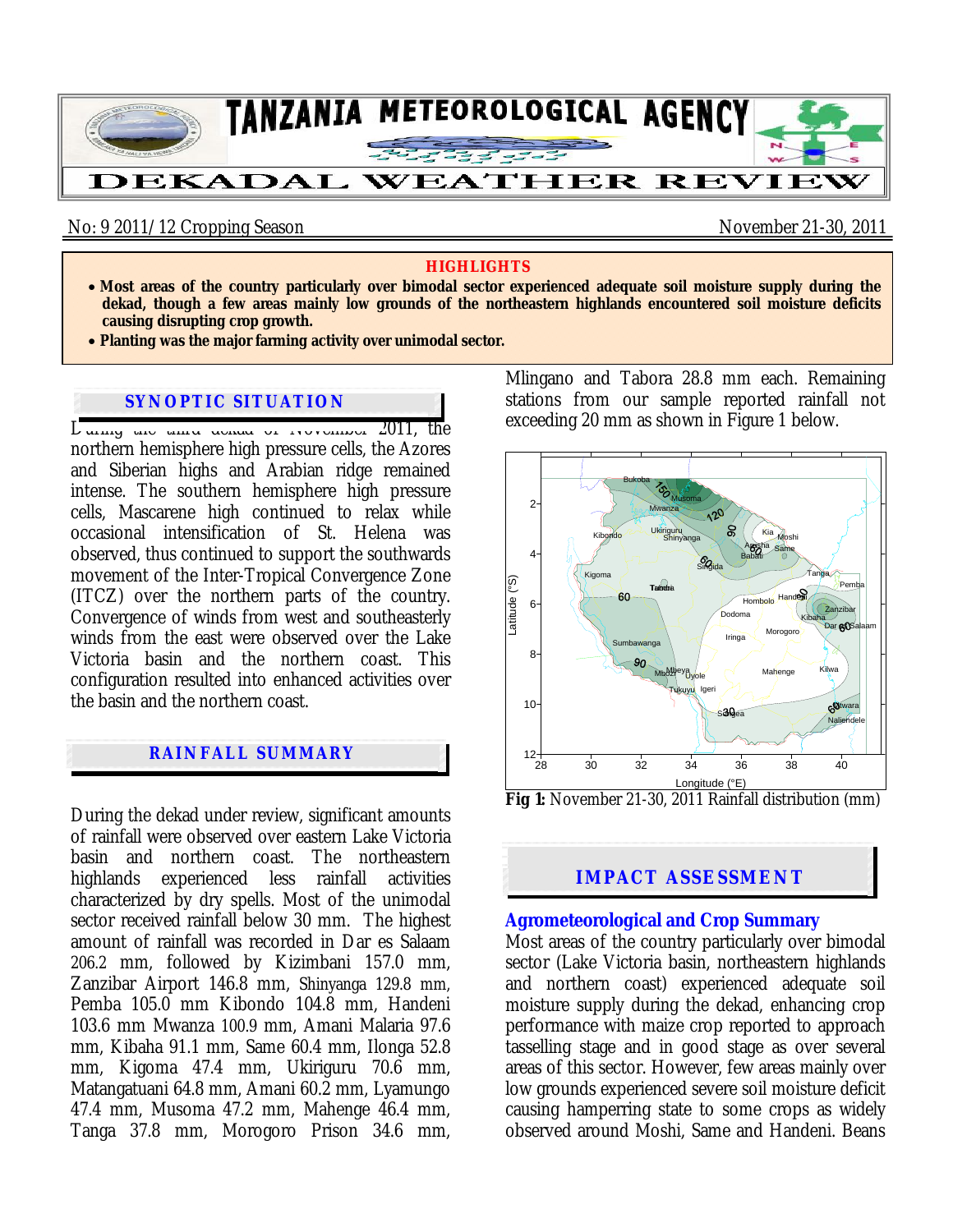

No: 9 2011/12 Cropping Season November 21-30, 2011

#### **HIGHLIGHTS**

- **Most areas of the country particularly over bimodal sector experienced adequate soil moisture supply during the dekad, though a few areas mainly low grounds of the northeastern highlands encountered soil moisture deficits causing disrupting crop growth.**
- **Planting was the major farming activity over unimodal sector.**

# **SYNOPTIC SITUATION**

 $L_{\text{uning}}$  and the density of Trevelling 2011, the northern hemisphere high pressure cells, the Azores and Siberian highs and Arabian ridge remained intense. The southern hemisphere high pressure cells, Mascarene high continued to relax while occasional intensification of St. Helena was observed, thus continued to support the southwards movement of the Inter-Tropical Convergence Zone (ITCZ) over the northern parts of the country. Convergence of winds from west and southeasterly winds from the east were observed over the Lake Victoria basin and the northern coast. This configuration resulted into enhanced activities over the basin and the northern coast.

## **RAINFALL SUMMARY**

During the dekad under review, significant amounts of rainfall were observed over eastern Lake Victoria basin and northern coast. The northeastern highlands experienced less rainfall activities characterized by dry spells. Most of the unimodal sector received rainfall below 30 mm. The highest amount of rainfall was recorded in Dar es Salaam 206.2 mm, followed by Kizimbani 157.0 mm, Zanzibar Airport 146.8 mm, Shinyanga 129.8 mm, Pemba 105.0 mm Kibondo 104.8 mm, Handeni 103.6 mm Mwanza 100.9 mm, Amani Malaria 97.6 mm, Kibaha 91.1 mm, Same 60.4 mm, Ilonga 52.8 mm, Kigoma 47.4 mm, Ukiriguru 70.6 mm, Matangatuani 64.8 mm, Amani 60.2 mm, Lyamungo 47.4 mm, Musoma 47.2 mm, Mahenge 46.4 mm, Tanga 37.8 mm, Morogoro Prison 34.6 mm, Mlingano and Tabora 28.8 mm each. Remaining stations from our sample reported rainfall not exceeding 20 mm as shown in Figure 1 below.



**Fig 1:** November 21-30, 2011 Rainfall distribution (mm)

## **IMPACT ASSESSMENT**

#### **Agrometeorological and Crop Summary**

Most areas of the country particularly over bimodal sector (Lake Victoria basin, northeastern highlands and northern coast) experienced adequate soil moisture supply during the dekad, enhancing crop performance with maize crop reported to approach tasselling stage and in good stage as over several areas of this sector. However, few areas mainly over low grounds experienced severe soil moisture deficit causing hamperring state to some crops as widely observed around Moshi, Same and Handeni. Beans